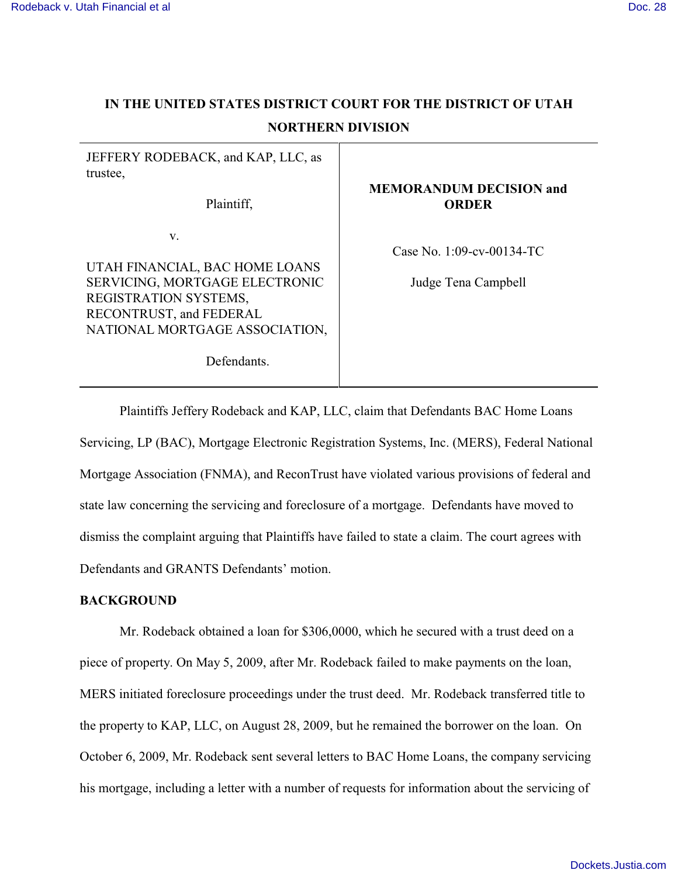# **IN THE UNITED STATES DISTRICT COURT FOR THE DISTRICT OF UTAH NORTHERN DIVISION**

| JEFFERY RODEBACK, and KAP, LLC, as<br>trustee,<br>Plaintiff,                                                                                                                | <b>MEMORANDUM DECISION and</b><br><b>ORDER</b>      |
|-----------------------------------------------------------------------------------------------------------------------------------------------------------------------------|-----------------------------------------------------|
| V.<br>UTAH FINANCIAL, BAC HOME LOANS<br>SERVICING, MORTGAGE ELECTRONIC<br>REGISTRATION SYSTEMS,<br>RECONTRUST, and FEDERAL<br>NATIONAL MORTGAGE ASSOCIATION,<br>Defendants. | Case No. $1:09$ -cv-00134-TC<br>Judge Tena Campbell |

Plaintiffs Jeffery Rodeback and KAP, LLC, claim that Defendants BAC Home Loans Servicing, LP (BAC), Mortgage Electronic Registration Systems, Inc. (MERS), Federal National Mortgage Association (FNMA), and ReconTrust have violated various provisions of federal and state law concerning the servicing and foreclosure of a mortgage. Defendants have moved to dismiss the complaint arguing that Plaintiffs have failed to state a claim. The court agrees with Defendants and GRANTS Defendants' motion.

## **BACKGROUND**

Mr. Rodeback obtained a loan for \$306,0000, which he secured with a trust deed on a piece of property. On May 5, 2009, after Mr. Rodeback failed to make payments on the loan, MERS initiated foreclosure proceedings under the trust deed. Mr. Rodeback transferred title to the property to KAP, LLC, on August 28, 2009, but he remained the borrower on the loan. On October 6, 2009, Mr. Rodeback sent several letters to BAC Home Loans, the company servicing his mortgage, including a letter with a number of requests for information about the servicing of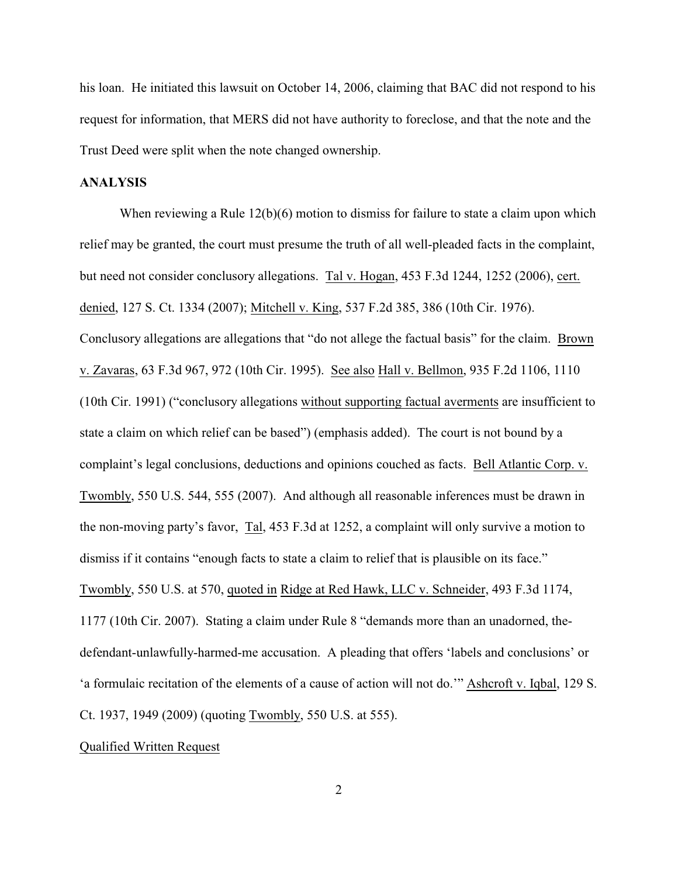his loan. He initiated this lawsuit on October 14, 2006, claiming that BAC did not respond to his request for information, that MERS did not have authority to foreclose, and that the note and the Trust Deed were split when the note changed ownership.

## **ANALYSIS**

When reviewing a Rule 12(b)(6) motion to dismiss for failure to state a claim upon which relief may be granted, the court must presume the truth of all well-pleaded facts in the complaint, but need not consider conclusory allegations. Tal v. Hogan, 453 F.3d 1244, 1252 (2006), cert. denied, 127 S. Ct. 1334 (2007); Mitchell v. King, 537 F.2d 385, 386 (10th Cir. 1976). Conclusory allegations are allegations that "do not allege the factual basis" for the claim. Brown v. Zavaras, 63 F.3d 967, 972 (10th Cir. 1995). See also Hall v. Bellmon, 935 F.2d 1106, 1110 (10th Cir. 1991) ("conclusory allegations without supporting factual averments are insufficient to state a claim on which relief can be based") (emphasis added). The court is not bound by a complaint's legal conclusions, deductions and opinions couched as facts. Bell Atlantic Corp. v. Twombly, 550 U.S. 544, 555 (2007). And although all reasonable inferences must be drawn in the non-moving party's favor, Tal, 453 F.3d at 1252, a complaint will only survive a motion to dismiss if it contains "enough facts to state a claim to relief that is plausible on its face." Twombly, 550 U.S. at 570, quoted in Ridge at Red Hawk, LLC v. Schneider, 493 F.3d 1174, 1177 (10th Cir. 2007). Stating a claim under Rule 8 "demands more than an unadorned, thedefendant-unlawfully-harmed-me accusation. A pleading that offers 'labels and conclusions' or 'a formulaic recitation of the elements of a cause of action will not do.'" Ashcroft v. Iqbal, 129 S. Ct. 1937, 1949 (2009) (quoting Twombly, 550 U.S. at 555).

### Qualified Written Request

2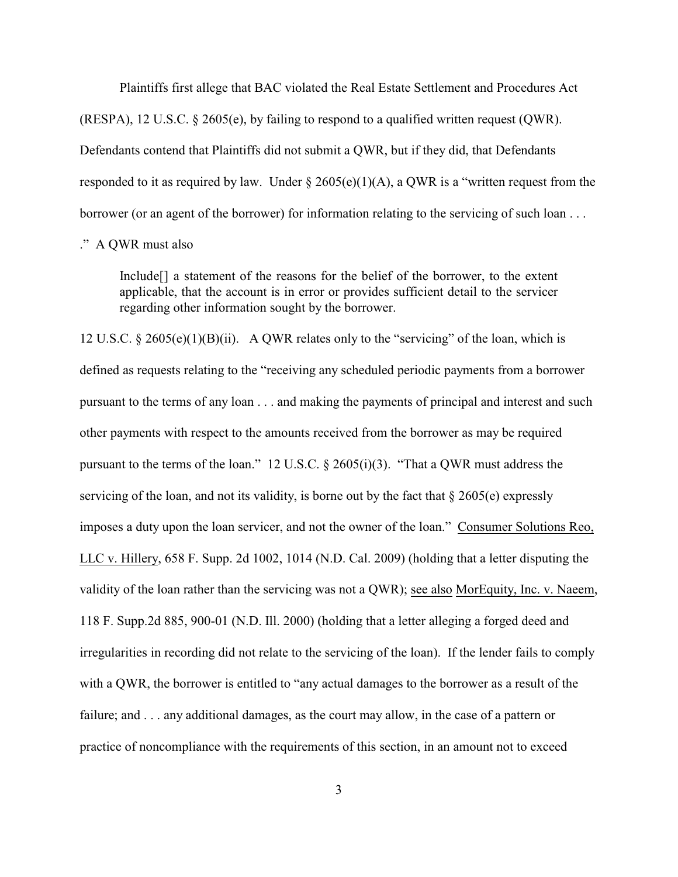Plaintiffs first allege that BAC violated the Real Estate Settlement and Procedures Act (RESPA), 12 U.S.C.  $\S$  2605(e), by failing to respond to a qualified written request (OWR). Defendants contend that Plaintiffs did not submit a QWR, but if they did, that Defendants responded to it as required by law. Under  $\S 2605(e)(1)(A)$ , a QWR is a "written request from the borrower (or an agent of the borrower) for information relating to the servicing of such loan . . .

." A QWR must also

Include[] a statement of the reasons for the belief of the borrower, to the extent applicable, that the account is in error or provides sufficient detail to the servicer regarding other information sought by the borrower.

12 U.S.C. § 2605(e)(1)(B)(ii). A QWR relates only to the "servicing" of the loan, which is defined as requests relating to the "receiving any scheduled periodic payments from a borrower pursuant to the terms of any loan . . . and making the payments of principal and interest and such other payments with respect to the amounts received from the borrower as may be required pursuant to the terms of the loan." 12 U.S.C. § 2605(i)(3). "That a QWR must address the servicing of the loan, and not its validity, is borne out by the fact that  $\S 2605(e)$  expressly imposes a duty upon the loan servicer, and not the owner of the loan." Consumer Solutions Reo, LLC v. Hillery, 658 F. Supp. 2d 1002, 1014 (N.D. Cal. 2009) (holding that a letter disputing the validity of the loan rather than the servicing was not a QWR); see also MorEquity, Inc. v. Naeem, 118 F. Supp.2d 885, 900-01 (N.D. Ill. 2000) (holding that a letter alleging a forged deed and irregularities in recording did not relate to the servicing of the loan). If the lender fails to comply with a QWR, the borrower is entitled to "any actual damages to the borrower as a result of the failure; and . . . any additional damages, as the court may allow, in the case of a pattern or practice of noncompliance with the requirements of this section, in an amount not to exceed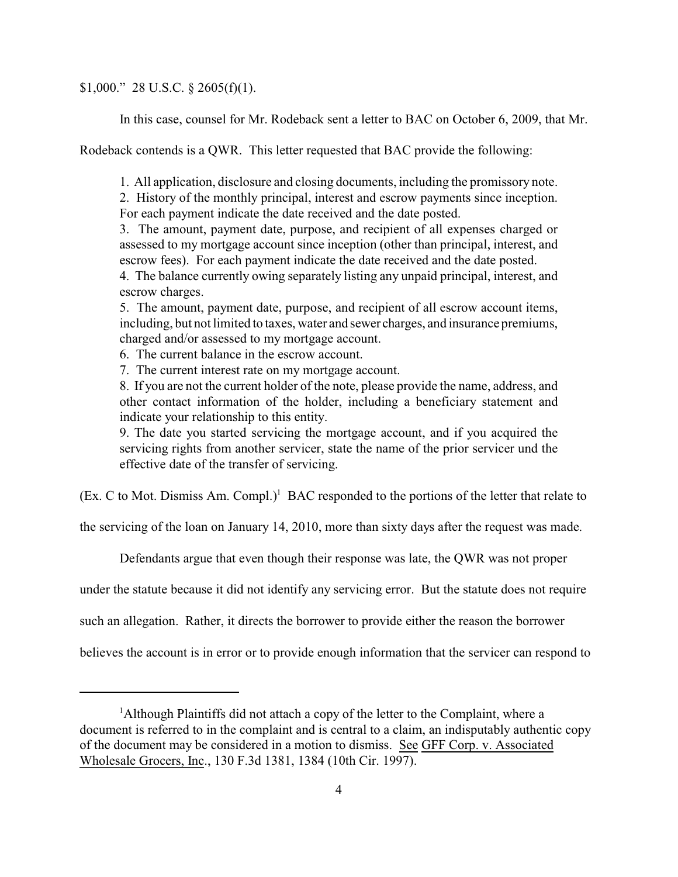\$1,000." 28 U.S.C.  $\S$  2605(f)(1).

In this case, counsel for Mr. Rodeback sent a letter to BAC on October 6, 2009, that Mr.

Rodeback contends is a QWR. This letter requested that BAC provide the following:

1. All application, disclosure and closing documents, including the promissory note.

2. History of the monthly principal, interest and escrow payments since inception. For each payment indicate the date received and the date posted.

3. The amount, payment date, purpose, and recipient of all expenses charged or assessed to my mortgage account since inception (other than principal, interest, and escrow fees). For each payment indicate the date received and the date posted.

4. The balance currently owing separately listing any unpaid principal, interest, and escrow charges.

5. The amount, payment date, purpose, and recipient of all escrow account items, including, but not limited to taxes, water and sewer charges, and insurance premiums, charged and/or assessed to my mortgage account.

6. The current balance in the escrow account.

7. The current interest rate on my mortgage account.

8. If you are not the current holder of the note, please provide the name, address, and other contact information of the holder, including a beneficiary statement and indicate your relationship to this entity.

9. The date you started servicing the mortgage account, and if you acquired the servicing rights from another servicer, state the name of the prior servicer und the effective date of the transfer of servicing.

 $(Ex. C to Mot. Dismiss Am. Compl.)<sup>1</sup> BAC responded to the portions of the letter that relate to$ 

the servicing of the loan on January 14, 2010, more than sixty days after the request was made.

Defendants argue that even though their response was late, the QWR was not proper

under the statute because it did not identify any servicing error. But the statute does not require

such an allegation. Rather, it directs the borrower to provide either the reason the borrower

believes the account is in error or to provide enough information that the servicer can respond to

<sup>&</sup>lt;sup>1</sup>Although Plaintiffs did not attach a copy of the letter to the Complaint, where a document is referred to in the complaint and is central to a claim, an indisputably authentic copy of the document may be considered in a motion to dismiss. See GFF Corp. v. Associated Wholesale Grocers, Inc., 130 F.3d 1381, 1384 (10th Cir. 1997).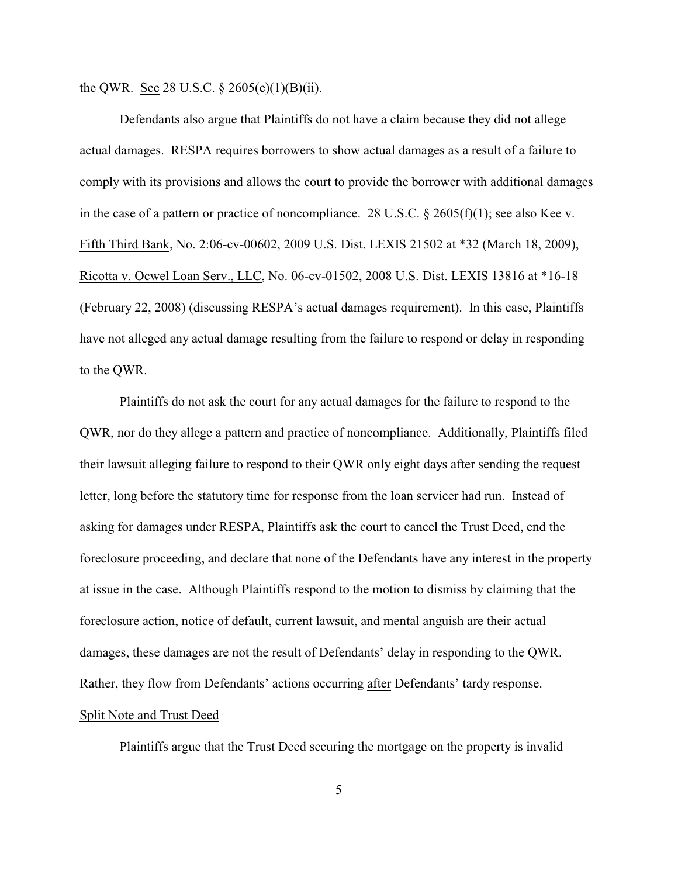the QWR. See 28 U.S.C.  $\S 2605(e)(1)(B)(ii)$ .

Defendants also argue that Plaintiffs do not have a claim because they did not allege actual damages. RESPA requires borrowers to show actual damages as a result of a failure to comply with its provisions and allows the court to provide the borrower with additional damages in the case of a pattern or practice of noncompliance. 28 U.S.C. § 2605(f)(1); see also Kee v. Fifth Third Bank, No. 2:06-cv-00602, 2009 U.S. Dist. LEXIS 21502 at \*32 (March 18, 2009), Ricotta v. Ocwel Loan Serv., LLC, No. 06-cv-01502, 2008 U.S. Dist. LEXIS 13816 at \*16-18 (February 22, 2008) (discussing RESPA's actual damages requirement). In this case, Plaintiffs have not alleged any actual damage resulting from the failure to respond or delay in responding to the QWR.

Plaintiffs do not ask the court for any actual damages for the failure to respond to the QWR, nor do they allege a pattern and practice of noncompliance. Additionally, Plaintiffs filed their lawsuit alleging failure to respond to their QWR only eight days after sending the request letter, long before the statutory time for response from the loan servicer had run. Instead of asking for damages under RESPA, Plaintiffs ask the court to cancel the Trust Deed, end the foreclosure proceeding, and declare that none of the Defendants have any interest in the property at issue in the case. Although Plaintiffs respond to the motion to dismiss by claiming that the foreclosure action, notice of default, current lawsuit, and mental anguish are their actual damages, these damages are not the result of Defendants' delay in responding to the QWR. Rather, they flow from Defendants' actions occurring after Defendants' tardy response.

## Split Note and Trust Deed

Plaintiffs argue that the Trust Deed securing the mortgage on the property is invalid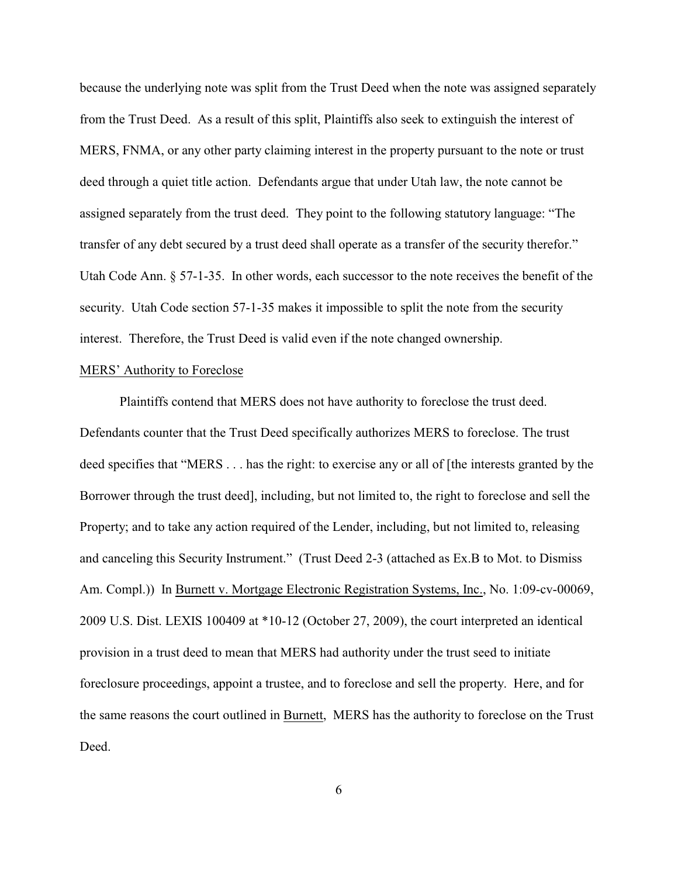because the underlying note was split from the Trust Deed when the note was assigned separately from the Trust Deed. As a result of this split, Plaintiffs also seek to extinguish the interest of MERS, FNMA, or any other party claiming interest in the property pursuant to the note or trust deed through a quiet title action. Defendants argue that under Utah law, the note cannot be assigned separately from the trust deed. They point to the following statutory language: "The transfer of any debt secured by a trust deed shall operate as a transfer of the security therefor." Utah Code Ann. § 57-1-35. In other words, each successor to the note receives the benefit of the security. Utah Code section 57-1-35 makes it impossible to split the note from the security interest. Therefore, the Trust Deed is valid even if the note changed ownership.

#### MERS' Authority to Foreclose

Plaintiffs contend that MERS does not have authority to foreclose the trust deed. Defendants counter that the Trust Deed specifically authorizes MERS to foreclose. The trust deed specifies that "MERS . . . has the right: to exercise any or all of [the interests granted by the Borrower through the trust deed], including, but not limited to, the right to foreclose and sell the Property; and to take any action required of the Lender, including, but not limited to, releasing and canceling this Security Instrument." (Trust Deed 2-3 (attached as Ex.B to Mot. to Dismiss Am. Compl.)) In Burnett v. Mortgage Electronic Registration Systems, Inc., No. 1:09-cv-00069, 2009 U.S. Dist. LEXIS 100409 at \*10-12 (October 27, 2009), the court interpreted an identical provision in a trust deed to mean that MERS had authority under the trust seed to initiate foreclosure proceedings, appoint a trustee, and to foreclose and sell the property. Here, and for the same reasons the court outlined in Burnett, MERS has the authority to foreclose on the Trust Deed.

6